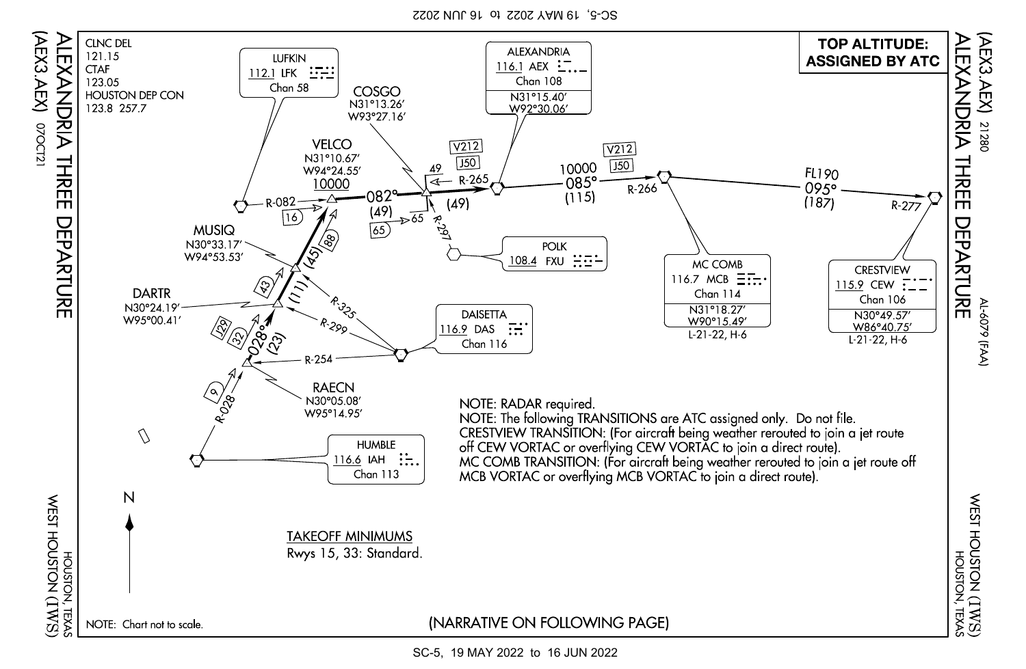SC-5, 19 MAY 2022 to 16 JUN 2022



SC-5, 19 MAY 2022 to 16 JUN 2022